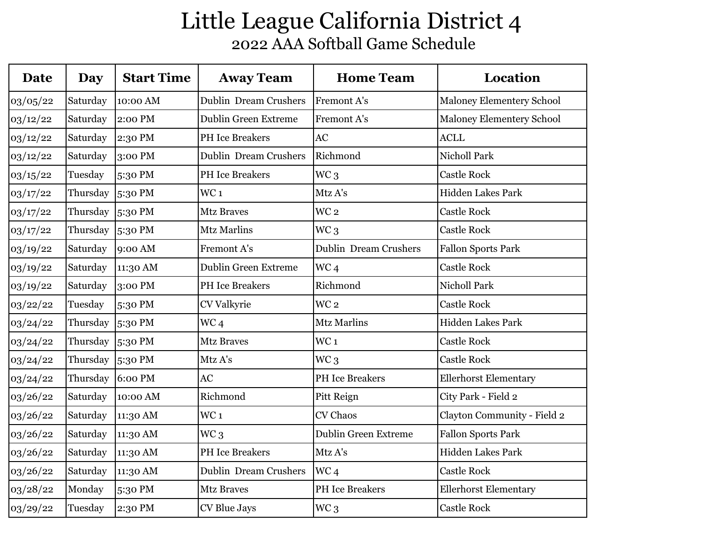| <b>Date</b> | Day      | <b>Start Time</b> | <b>Away Team</b>             | <b>Home Team</b>             | <b>Location</b>              |
|-------------|----------|-------------------|------------------------------|------------------------------|------------------------------|
| 03/05/22    | Saturday | 10:00 AM          | <b>Dublin Dream Crushers</b> | <b>Fremont A's</b>           | Maloney Elementery School    |
| 03/12/22    | Saturday | 2:00 PM           | <b>Dublin Green Extreme</b>  | Fremont A's                  | Maloney Elementery School    |
| 03/12/22    | Saturday | 2:30 PM           | <b>PH</b> Ice Breakers       | AC                           | <b>ACLL</b>                  |
| 03/12/22    | Saturday | $3:00 \text{ PM}$ | <b>Dublin Dream Crushers</b> | Richmond                     | Nicholl Park                 |
| 03/15/22    | Tuesday  | 5:30 PM           | <b>PH</b> Ice Breakers       | WC <sub>3</sub>              | <b>Castle Rock</b>           |
| 03/17/22    | Thursday | $5:30 \text{ PM}$ | WC <sub>1</sub>              | Mtz A's                      | <b>Hidden Lakes Park</b>     |
| 03/17/22    | Thursday | 5:30 PM           | <b>Mtz Braves</b>            | WC <sub>2</sub>              | <b>Castle Rock</b>           |
| 03/17/22    | Thursday | $5:30 \text{ PM}$ | <b>Mtz Marlins</b>           | WC <sub>3</sub>              | <b>Castle Rock</b>           |
| 03/19/22    | Saturday | 9:00 AM           | Fremont A's                  | <b>Dublin Dream Crushers</b> | <b>Fallon Sports Park</b>    |
| 03/19/22    | Saturday | 11:30 AM          | <b>Dublin Green Extreme</b>  | WC <sub>4</sub>              | <b>Castle Rock</b>           |
| 03/19/22    | Saturday | 3:00 PM           | <b>PH</b> Ice Breakers       | Richmond                     | <b>Nicholl Park</b>          |
| 03/22/22    | Tuesday  | 5:30 PM           | CV Valkyrie                  | WC <sub>2</sub>              | <b>Castle Rock</b>           |
| 03/24/22    | Thursday | 5:30 PM           | WC <sub>4</sub>              | <b>Mtz Marlins</b>           | Hidden Lakes Park            |
| 03/24/22    | Thursday | $5:30 \text{ PM}$ | <b>Mtz Braves</b>            | WC <sub>1</sub>              | <b>Castle Rock</b>           |
| 03/24/22    | Thursday | $5:30 \text{ PM}$ | Mtz A's                      | WC <sub>3</sub>              | <b>Castle Rock</b>           |
| 03/24/22    | Thursday | $6:00 \text{ PM}$ | AC                           | PH Ice Breakers              | <b>Ellerhorst Elementary</b> |
| 03/26/22    | Saturday | 10:00 AM          | Richmond                     | Pitt Reign                   | City Park - Field 2          |
| 03/26/22    | Saturday | 11:30 AM          | WC <sub>1</sub>              | CV Chaos                     | Clayton Community - Field 2  |
| 03/26/22    | Saturday | 11:30 AM          | WC <sub>3</sub>              | <b>Dublin Green Extreme</b>  | <b>Fallon Sports Park</b>    |
| 03/26/22    | Saturday | 11:30 AM          | <b>PH</b> Ice Breakers       | Mtz A's                      | Hidden Lakes Park            |
| 03/26/22    | Saturday | 11:30 AM          | <b>Dublin Dream Crushers</b> | WC <sub>4</sub>              | <b>Castle Rock</b>           |
| 03/28/22    | Monday   | 5:30 PM           | <b>Mtz Braves</b>            | <b>PH</b> Ice Breakers       | <b>Ellerhorst Elementary</b> |
| 03/29/22    | Tuesday  | 2:30 PM           | CV Blue Jays                 | WC <sub>3</sub>              | <b>Castle Rock</b>           |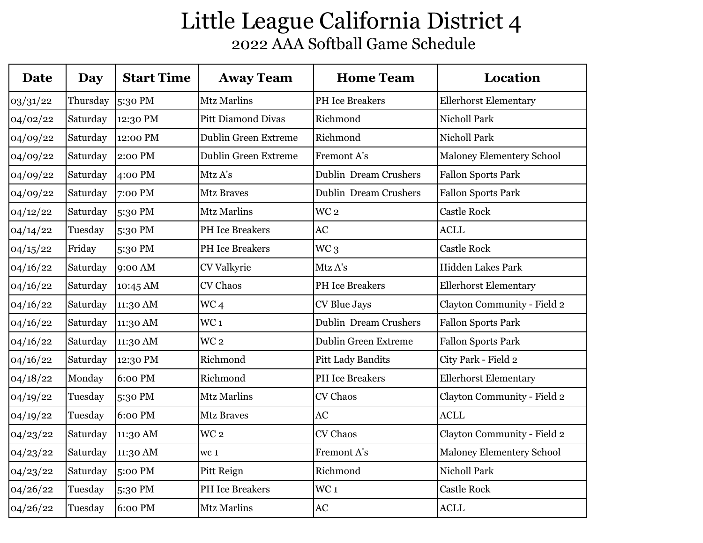| <b>Date</b> | Day      | <b>Start Time</b> | <b>Away Team</b>            | <b>Home Team</b>             | <b>Location</b>              |
|-------------|----------|-------------------|-----------------------------|------------------------------|------------------------------|
| 03/31/22    | Thursday | 5:30 PM           | <b>Mtz Marlins</b>          | PH Ice Breakers              | <b>Ellerhorst Elementary</b> |
| 04/02/22    | Saturday | 12:30 PM          | <b>Pitt Diamond Divas</b>   | Richmond                     | <b>Nicholl Park</b>          |
| 04/09/22    | Saturday | 12:00 PM          | <b>Dublin Green Extreme</b> | Richmond                     | <b>Nicholl Park</b>          |
| 04/09/22    | Saturday | 2:00 PM           | <b>Dublin Green Extreme</b> | Fremont A's                  | Maloney Elementery School    |
| 04/09/22    | Saturday | 4:00 PM           | Mtz A's                     | <b>Dublin Dream Crushers</b> | <b>Fallon Sports Park</b>    |
| 04/09/22    | Saturday | 7:00 PM           | <b>Mtz Braves</b>           | <b>Dublin Dream Crushers</b> | <b>Fallon Sports Park</b>    |
| 04/12/22    | Saturday | 5:30 PM           | <b>Mtz Marlins</b>          | WC <sub>2</sub>              | <b>Castle Rock</b>           |
| 04/14/22    | Tuesday  | 5:30 PM           | <b>PH</b> Ice Breakers      | AC                           | <b>ACLL</b>                  |
| 04/15/22    | Friday   | 5:30 PM           | PH Ice Breakers             | WC <sub>3</sub>              | <b>Castle Rock</b>           |
| 04/16/22    | Saturday | 9:00 AM           | CV Valkyrie                 | Mtz A's                      | <b>Hidden Lakes Park</b>     |
| 04/16/22    | Saturday | 10:45 AM          | <b>CV Chaos</b>             | PH Ice Breakers              | <b>Ellerhorst Elementary</b> |
| 04/16/22    | Saturday | 11:30 AM          | WC <sub>4</sub>             | CV Blue Jays                 | Clayton Community - Field 2  |
| 04/16/22    | Saturday | 11:30 AM          | WC <sub>1</sub>             | Dublin Dream Crushers        | <b>Fallon Sports Park</b>    |
| 04/16/22    | Saturday | 11:30 AM          | WC <sub>2</sub>             | <b>Dublin Green Extreme</b>  | <b>Fallon Sports Park</b>    |
| 04/16/22    | Saturday | 12:30 PM          | Richmond                    | <b>Pitt Lady Bandits</b>     | City Park - Field 2          |
| 04/18/22    | Monday   | 6:00 PM           | Richmond                    | <b>PH</b> Ice Breakers       | <b>Ellerhorst Elementary</b> |
| 04/19/22    | Tuesday  | 5:30 PM           | <b>Mtz Marlins</b>          | CV Chaos                     | Clayton Community - Field 2  |
| 04/19/22    | Tuesday  | 6:00 PM           | <b>Mtz Braves</b>           | AC                           | <b>ACLL</b>                  |
| 04/23/22    | Saturday | 11:30 AM          | WC <sub>2</sub>             | <b>CV Chaos</b>              | Clayton Community - Field 2  |
| 04/23/22    | Saturday | 11:30 AM          | WC <sub>1</sub>             | Fremont A's                  | Maloney Elementery School    |
| 04/23/22    | Saturday | 5:00 PM           | Pitt Reign                  | Richmond                     | Nicholl Park                 |
| 04/26/22    | Tuesday  | 5:30 PM           | <b>PH</b> Ice Breakers      | WC <sub>1</sub>              | <b>Castle Rock</b>           |
| 04/26/22    | Tuesday  | 6:00 PM           | <b>Mtz Marlins</b>          | <b>AC</b>                    | <b>ACLL</b>                  |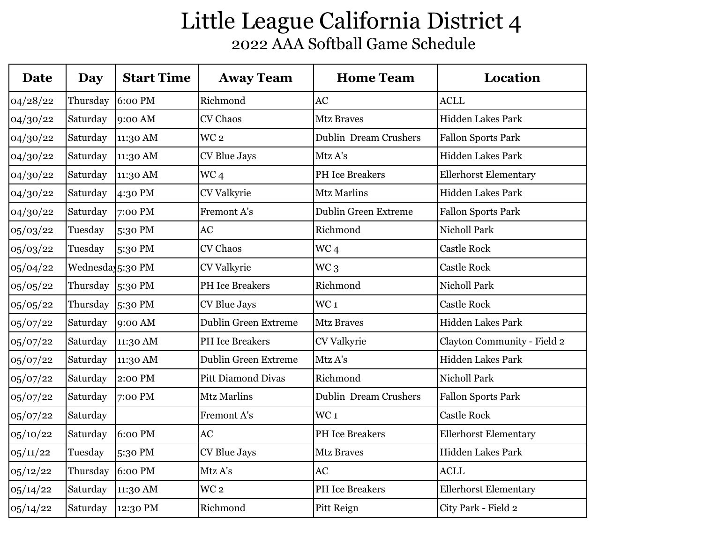| <b>Date</b> | <b>Day</b>       | <b>Start Time</b> | <b>Away Team</b>            | <b>Home Team</b>             | Location                     |
|-------------|------------------|-------------------|-----------------------------|------------------------------|------------------------------|
| 04/28/22    | Thursday         | 6:00 PM           | Richmond                    | AC                           | <b>ACLL</b>                  |
| 04/30/22    | Saturday         | 9:00 AM           | CV Chaos                    | <b>Mtz Braves</b>            | Hidden Lakes Park            |
| 04/30/22    | Saturday         | 11:30 AM          | WC <sub>2</sub>             | <b>Dublin Dream Crushers</b> | <b>Fallon Sports Park</b>    |
| 04/30/22    | Saturday         | 11:30 AM          | CV Blue Jays                | Mtz A's                      | Hidden Lakes Park            |
| 04/30/22    | Saturday         | 11:30 AM          | WC <sub>4</sub>             | <b>PH</b> Ice Breakers       | <b>Ellerhorst Elementary</b> |
| 04/30/22    | Saturday         | 4:30 PM           | CV Valkyrie                 | <b>Mtz Marlins</b>           | Hidden Lakes Park            |
| 04/30/22    | Saturday         | 7:00 PM           | Fremont A's                 | <b>Dublin Green Extreme</b>  | <b>Fallon Sports Park</b>    |
| 05/03/22    | Tuesday          | 5:30 PM           | AC                          | Richmond                     | <b>Nicholl Park</b>          |
| 05/03/22    | Tuesday          | 5:30 PM           | CV Chaos                    | WC <sub>4</sub>              | <b>Castle Rock</b>           |
| 05/04/22    | Wednesda 5:30 PM |                   | CV Valkyrie                 | WC <sub>3</sub>              | <b>Castle Rock</b>           |
| 05/05/22    | Thursday         | 5:30 PM           | PH Ice Breakers             | Richmond                     | <b>Nicholl Park</b>          |
| 05/05/22    | Thursday         | 5:30 PM           | CV Blue Jays                | WC <sub>1</sub>              | <b>Castle Rock</b>           |
| 05/07/22    | Saturday         | 9:00 AM           | <b>Dublin Green Extreme</b> | <b>Mtz Braves</b>            | Hidden Lakes Park            |
| 05/07/22    | Saturday         | 11:30 AM          | PH Ice Breakers             | CV Valkyrie                  | Clayton Community - Field 2  |
| 05/07/22    | Saturday         | 11:30 AM          | <b>Dublin Green Extreme</b> | Mtz A's                      | <b>Hidden Lakes Park</b>     |
| 05/07/22    | Saturday         | 2:00 PM           | <b>Pitt Diamond Divas</b>   | Richmond                     | <b>Nicholl Park</b>          |
| 05/07/22    | Saturday         | 7:00 PM           | <b>Mtz Marlins</b>          | <b>Dublin Dream Crushers</b> | <b>Fallon Sports Park</b>    |
| 05/07/22    | Saturday         |                   | Fremont A's                 | WC <sub>1</sub>              | <b>Castle Rock</b>           |
| 05/10/22    | Saturday         | 6:00 PM           | AC                          | <b>PH</b> Ice Breakers       | <b>Ellerhorst Elementary</b> |
| 05/11/22    | Tuesday          | 5:30 PM           | CV Blue Jays                | <b>Mtz Braves</b>            | Hidden Lakes Park            |
| 05/12/22    | Thursday         | 6:00 PM           | Mtz A's                     | AC                           | <b>ACLL</b>                  |
| 05/14/22    | Saturday         | 11:30 AM          | WC <sub>2</sub>             | <b>PH</b> Ice Breakers       | <b>Ellerhorst Elementary</b> |
| 05/14/22    | Saturday         | 12:30 PM          | Richmond                    | Pitt Reign                   | City Park - Field 2          |